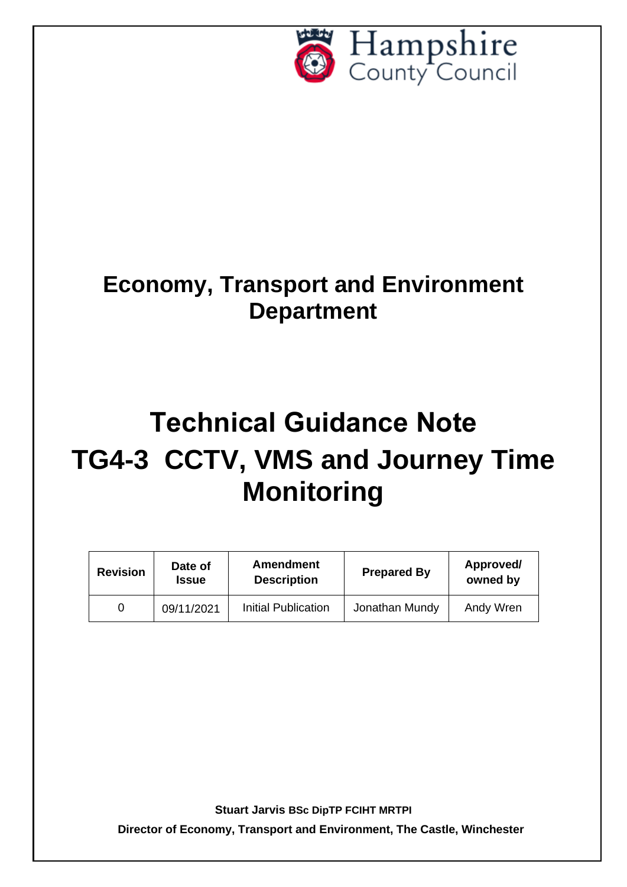

## **Economy, Transport and Environment Department**

# **Technical Guidance Note TG4-3 CCTV, VMS and Journey Time Monitoring**

| <b>Revision</b> | Date of<br>Issue | <b>Amendment</b><br><b>Description</b> | <b>Prepared By</b> | Approved/<br>owned by |
|-----------------|------------------|----------------------------------------|--------------------|-----------------------|
|                 | 09/11/2021       | Initial Publication                    | Jonathan Mundy     | Andy Wren             |

**Stuart Jarvis BSc DipTP FCIHT MRTPI**

**Director of Economy, Transport and Environment, The Castle, Winchester**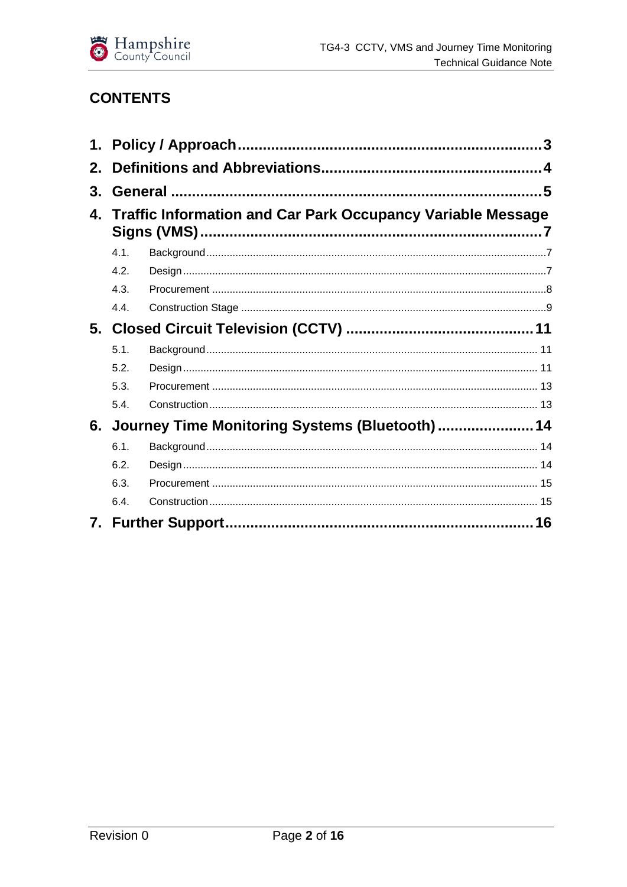

## **CONTENTS**

| $2_{-}$ |      |                                                                    |  |  |  |
|---------|------|--------------------------------------------------------------------|--|--|--|
| 3.      |      |                                                                    |  |  |  |
| 4.      |      | <b>Traffic Information and Car Park Occupancy Variable Message</b> |  |  |  |
|         | 4.1. |                                                                    |  |  |  |
|         | 4.2. |                                                                    |  |  |  |
|         | 4.3. |                                                                    |  |  |  |
|         | 4.4. |                                                                    |  |  |  |
|         |      |                                                                    |  |  |  |
|         | 5.1. |                                                                    |  |  |  |
|         | 5.2. |                                                                    |  |  |  |
|         | 5.3. |                                                                    |  |  |  |
|         | 5.4. |                                                                    |  |  |  |
| 6.      |      | Journey Time Monitoring Systems (Bluetooth) 14                     |  |  |  |
|         | 6.1. |                                                                    |  |  |  |
|         | 6.2. |                                                                    |  |  |  |
|         | 6.3. |                                                                    |  |  |  |
|         | 6.4. |                                                                    |  |  |  |
|         |      |                                                                    |  |  |  |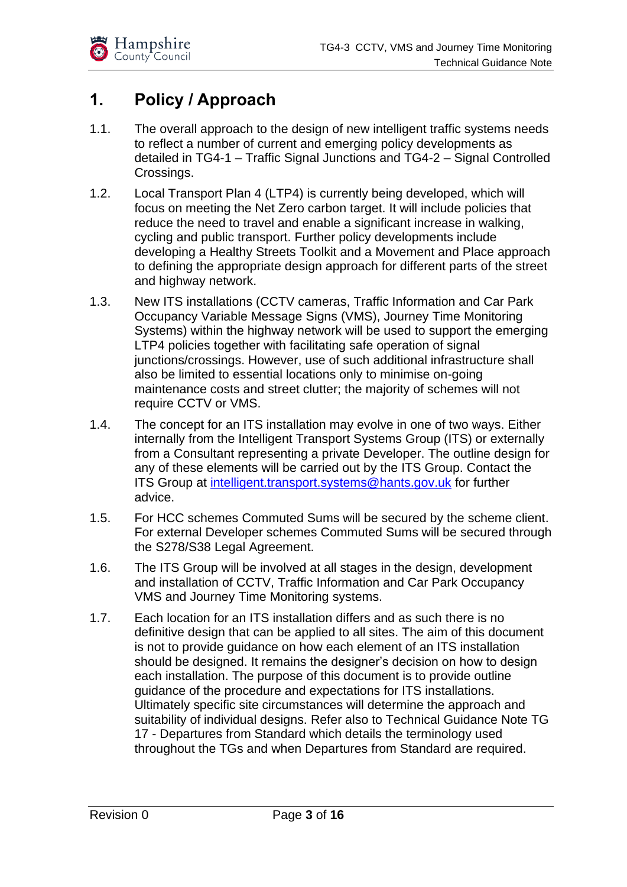

## <span id="page-2-0"></span>**1. Policy / Approach**

- 1.1. The overall approach to the design of new intelligent traffic systems needs to reflect a number of current and emerging policy developments as detailed in TG4-1 – Traffic Signal Junctions and TG4-2 – Signal Controlled Crossings.
- 1.2. Local Transport Plan 4 (LTP4) is currently being developed, which will focus on meeting the Net Zero carbon target. It will include policies that reduce the need to travel and enable a significant increase in walking, cycling and public transport. Further policy developments include developing a Healthy Streets Toolkit and a Movement and Place approach to defining the appropriate design approach for different parts of the street and highway network.
- 1.3. New ITS installations (CCTV cameras, Traffic Information and Car Park Occupancy Variable Message Signs (VMS), Journey Time Monitoring Systems) within the highway network will be used to support the emerging LTP4 policies together with facilitating safe operation of signal junctions/crossings. However, use of such additional infrastructure shall also be limited to essential locations only to minimise on-going maintenance costs and street clutter; the majority of schemes will not require CCTV or VMS.
- 1.4. The concept for an ITS installation may evolve in one of two ways. Either internally from the Intelligent Transport Systems Group (ITS) or externally from a Consultant representing a private Developer. The outline design for any of these elements will be carried out by the ITS Group. Contact the ITS Group at [intelligent.transport.systems@hants.gov.uk](mailto:intelligent.transport.systems@hants.gov.uk) for further advice.
- 1.5. For HCC schemes Commuted Sums will be secured by the scheme client. For external Developer schemes Commuted Sums will be secured through the S278/S38 Legal Agreement.
- 1.6. The ITS Group will be involved at all stages in the design, development and installation of CCTV, Traffic Information and Car Park Occupancy VMS and Journey Time Monitoring systems.
- 1.7. Each location for an ITS installation differs and as such there is no definitive design that can be applied to all sites. The aim of this document is not to provide guidance on how each element of an ITS installation should be designed. It remains the designer's decision on how to design each installation. The purpose of this document is to provide outline guidance of the procedure and expectations for ITS installations. Ultimately specific site circumstances will determine the approach and suitability of individual designs. Refer also to Technical Guidance Note TG 17 - Departures from Standard which details the terminology used throughout the TGs and when Departures from Standard are required.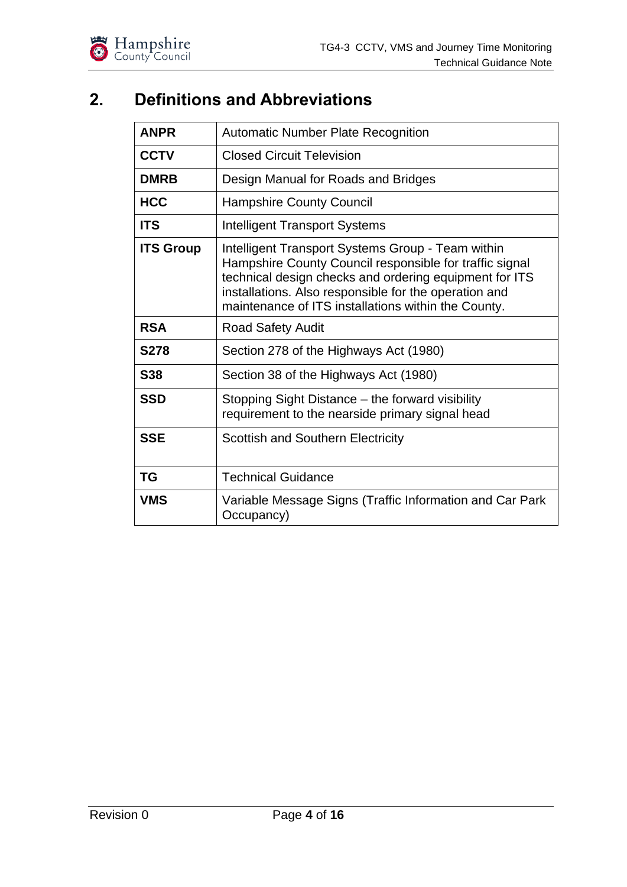

## <span id="page-3-0"></span>**2. Definitions and Abbreviations**

| <b>ANPR</b>      | <b>Automatic Number Plate Recognition</b>                                                                                                                                                                                                                                              |  |
|------------------|----------------------------------------------------------------------------------------------------------------------------------------------------------------------------------------------------------------------------------------------------------------------------------------|--|
| <b>CCTV</b>      | <b>Closed Circuit Television</b>                                                                                                                                                                                                                                                       |  |
| <b>DMRB</b>      | Design Manual for Roads and Bridges                                                                                                                                                                                                                                                    |  |
| <b>HCC</b>       | <b>Hampshire County Council</b>                                                                                                                                                                                                                                                        |  |
| <b>ITS</b>       | Intelligent Transport Systems                                                                                                                                                                                                                                                          |  |
| <b>ITS Group</b> | Intelligent Transport Systems Group - Team within<br>Hampshire County Council responsible for traffic signal<br>technical design checks and ordering equipment for ITS<br>installations. Also responsible for the operation and<br>maintenance of ITS installations within the County. |  |
| <b>RSA</b>       | <b>Road Safety Audit</b>                                                                                                                                                                                                                                                               |  |
| <b>S278</b>      | Section 278 of the Highways Act (1980)                                                                                                                                                                                                                                                 |  |
| <b>S38</b>       | Section 38 of the Highways Act (1980)                                                                                                                                                                                                                                                  |  |
| <b>SSD</b>       | Stopping Sight Distance – the forward visibility<br>requirement to the nearside primary signal head                                                                                                                                                                                    |  |
| <b>SSE</b>       | <b>Scottish and Southern Electricity</b>                                                                                                                                                                                                                                               |  |
| <b>TG</b>        | <b>Technical Guidance</b>                                                                                                                                                                                                                                                              |  |
| VMS              | Variable Message Signs (Traffic Information and Car Park<br>Occupancy)                                                                                                                                                                                                                 |  |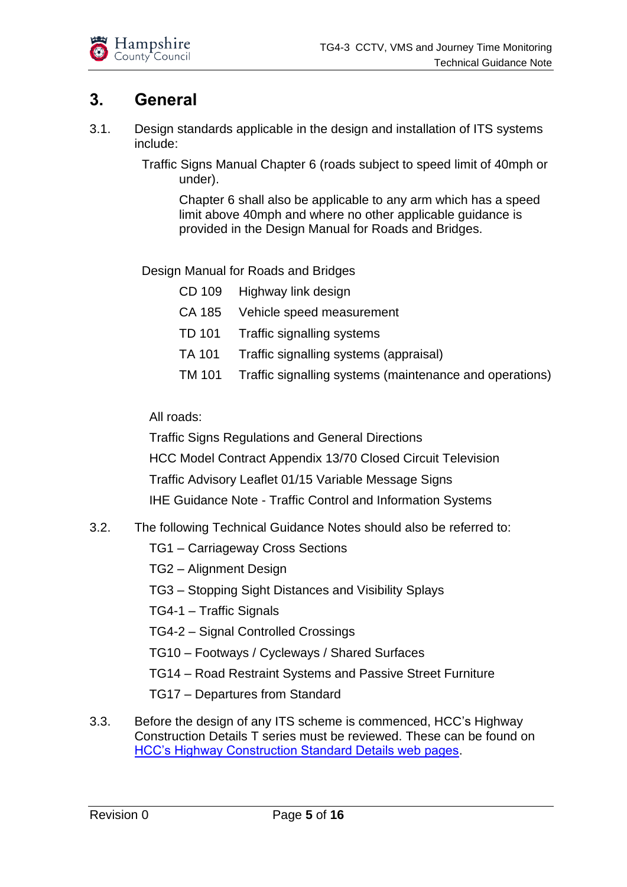

## <span id="page-4-0"></span>**3. General**

- 3.1. Design standards applicable in the design and installation of ITS systems include:
	- Traffic Signs Manual Chapter 6 (roads subject to speed limit of 40mph or under).

Chapter 6 shall also be applicable to any arm which has a speed limit above 40mph and where no other applicable guidance is provided in the Design Manual for Roads and Bridges.

Design Manual for Roads and Bridges

|        | CD 109 Highway link design                                     |
|--------|----------------------------------------------------------------|
|        | CA 185 Vehicle speed measurement                               |
|        | TD 101 Traffic signalling systems                              |
| TA 101 | Traffic signalling systems (appraisal)                         |
|        | TM 101 Traffic signalling systems (maintenance and operations) |

All roads:

Traffic Signs Regulations and General Directions

HCC Model Contract Appendix 13/70 Closed Circuit Television

Traffic Advisory Leaflet 01/15 Variable Message Signs

IHE Guidance Note - Traffic Control and Information Systems

- 3.2. The following Technical Guidance Notes should also be referred to:
	- TG1 Carriageway Cross Sections
	- TG2 Alignment Design
	- TG3 Stopping Sight Distances and Visibility Splays
	- TG4-1 Traffic Signals
	- TG4-2 Signal Controlled Crossings
	- TG10 Footways / Cycleways / Shared Surfaces
	- TG14 Road Restraint Systems and Passive Street Furniture
	- TG17 Departures from Standard
- 3.3. Before the design of any ITS scheme is commenced, HCC's Highway Construction Details T series must be reviewed. These can be found on [HCC's Highway Construction Standard Details web pages.](https://www.hants.gov.uk/transport/developers/standard-details)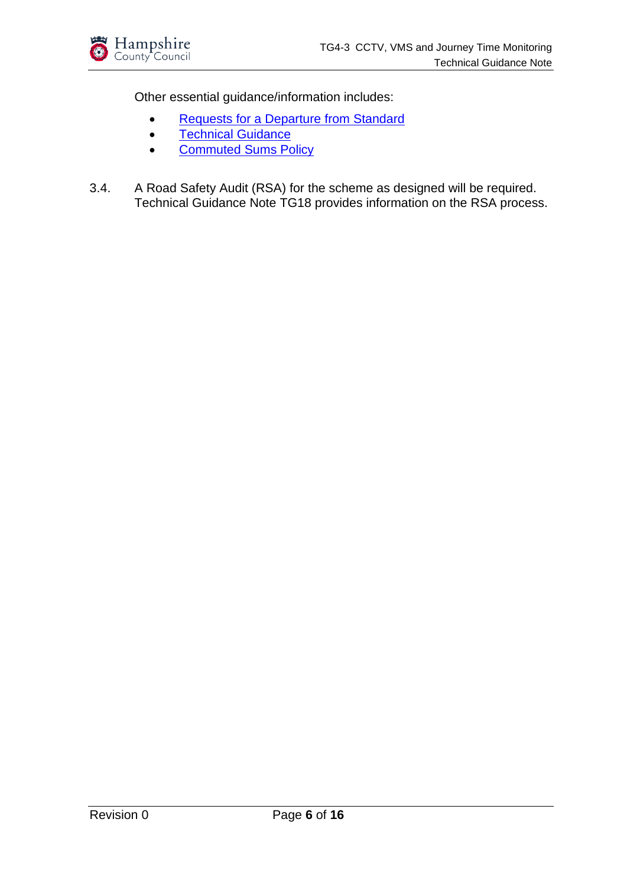

Other essential guidance/information includes:

- [Requests for a Departure from Standard](http://documents.hants.gov.uk/transport/RequestforaDeparturefromStandard.docx)
- [Technical Guidance](https://www.hants.gov.uk/transport/developers/technical-guidance)
- [Commuted Sums Policy](https://www.hants.gov.uk/transport/developers/commuted-sums)
- 3.4. A Road Safety Audit (RSA) for the scheme as designed will be required. Technical Guidance Note TG18 provides information on the RSA process.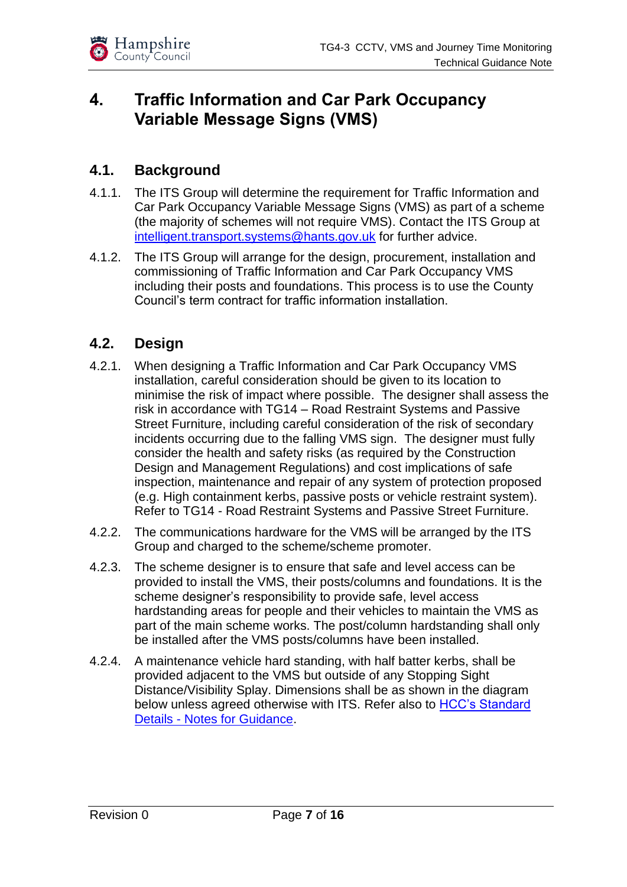## <span id="page-6-0"></span>**4. Traffic Information and Car Park Occupancy Variable Message Signs (VMS)**

#### <span id="page-6-1"></span>**4.1. Background**

- 4.1.1. The ITS Group will determine the requirement for Traffic Information and Car Park Occupancy Variable Message Signs (VMS) as part of a scheme (the majority of schemes will not require VMS). Contact the ITS Group at [intelligent.transport.systems@hants.gov.uk](mailto:intelligent.transport.systems@hants.gov.uk) for further advice.
- 4.1.2. The ITS Group will arrange for the design, procurement, installation and commissioning of Traffic Information and Car Park Occupancy VMS including their posts and foundations. This process is to use the County Council's term contract for traffic information installation.

#### <span id="page-6-2"></span>**4.2. Design**

- 4.2.1. When designing a Traffic Information and Car Park Occupancy VMS installation, careful consideration should be given to its location to minimise the risk of impact where possible. The designer shall assess the risk in accordance with TG14 – Road Restraint Systems and Passive Street Furniture, including careful consideration of the risk of secondary incidents occurring due to the falling VMS sign. The designer must fully consider the health and safety risks (as required by the Construction Design and Management Regulations) and cost implications of safe inspection, maintenance and repair of any system of protection proposed (e.g. High containment kerbs, passive posts or vehicle restraint system). Refer to TG14 - Road Restraint Systems and Passive Street Furniture.
- 4.2.2. The communications hardware for the VMS will be arranged by the ITS Group and charged to the scheme/scheme promoter.
- 4.2.3. The scheme designer is to ensure that safe and level access can be provided to install the VMS, their posts/columns and foundations. It is the scheme designer's responsibility to provide safe, level access hardstanding areas for people and their vehicles to maintain the VMS as part of the main scheme works. The post/column hardstanding shall only be installed after the VMS posts/columns have been installed.
- 4.2.4. A maintenance vehicle hard standing, with half batter kerbs, shall be provided adjacent to the VMS but outside of any Stopping Sight Distance/Visibility Splay. Dimensions shall be as shown in the diagram below unless agreed otherwise with ITS. Refer also to [HCC's Standard](https://www.hants.gov.uk/transport/developers/standard-details)  Details - [Notes for Guidance.](https://www.hants.gov.uk/transport/developers/standard-details)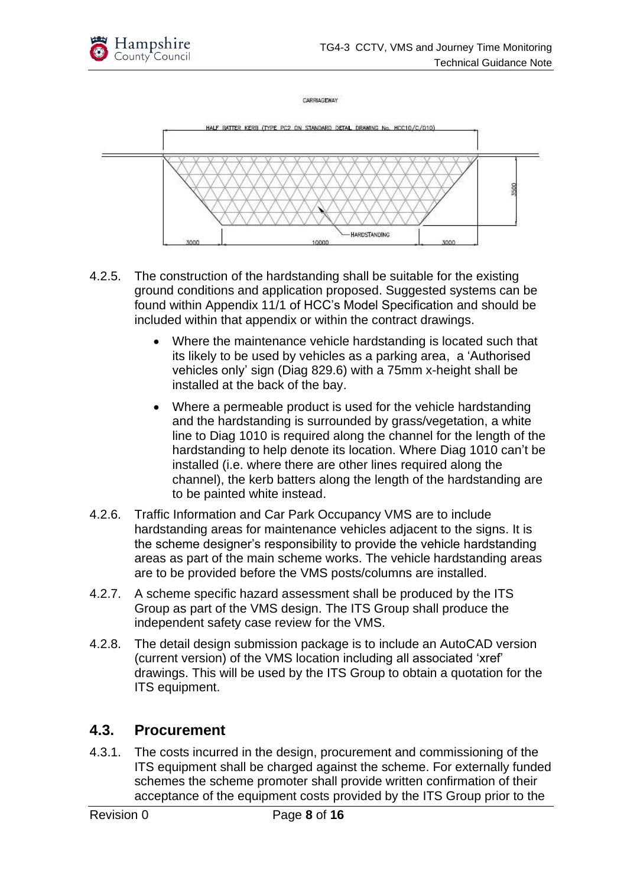

CARRIAGEWAY



- 4.2.5. The construction of the hardstanding shall be suitable for the existing ground conditions and application proposed. Suggested systems can be found within Appendix 11/1 of HCC's Model Specification and should be included within that appendix or within the contract drawings.
	- Where the maintenance vehicle hardstanding is located such that its likely to be used by vehicles as a parking area, a 'Authorised vehicles only' sign (Diag 829.6) with a 75mm x-height shall be installed at the back of the bay.
	- Where a permeable product is used for the vehicle hardstanding and the hardstanding is surrounded by grass/vegetation, a white line to Diag 1010 is required along the channel for the length of the hardstanding to help denote its location. Where Diag 1010 can't be installed (i.e. where there are other lines required along the channel), the kerb batters along the length of the hardstanding are to be painted white instead.
- 4.2.6. Traffic Information and Car Park Occupancy VMS are to include hardstanding areas for maintenance vehicles adjacent to the signs. It is the scheme designer's responsibility to provide the vehicle hardstanding areas as part of the main scheme works. The vehicle hardstanding areas are to be provided before the VMS posts/columns are installed.
- 4.2.7. A scheme specific hazard assessment shall be produced by the ITS Group as part of the VMS design. The ITS Group shall produce the independent safety case review for the VMS.
- 4.2.8. The detail design submission package is to include an AutoCAD version (current version) of the VMS location including all associated 'xref' drawings. This will be used by the ITS Group to obtain a quotation for the ITS equipment.

#### <span id="page-7-0"></span>**4.3. Procurement**

4.3.1. The costs incurred in the design, procurement and commissioning of the ITS equipment shall be charged against the scheme. For externally funded schemes the scheme promoter shall provide written confirmation of their acceptance of the equipment costs provided by the ITS Group prior to the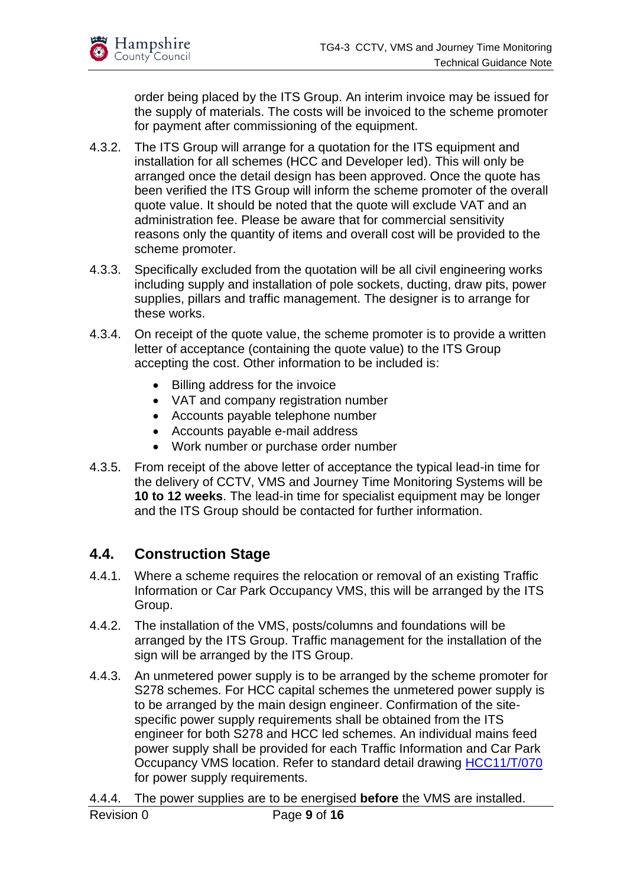

order being placed by the ITS Group. An interim invoice may be issued for the supply of materials. The costs will be invoiced to the scheme promoter for payment after commissioning of the equipment.

- 4.3.2. The ITS Group will arrange for a quotation for the ITS equipment and installation for all schemes (HCC and Developer led). This will only be arranged once the detail design has been approved. Once the quote has been verified the ITS Group will inform the scheme promoter of the overall quote value. It should be noted that the quote will exclude VAT and an administration fee. Please be aware that for commercial sensitivity reasons only the quantity of items and overall cost will be provided to the scheme promoter.
- 4.3.3. Specifically excluded from the quotation will be all civil engineering works including supply and installation of pole sockets, ducting, draw pits, power supplies, pillars and traffic management. The designer is to arrange for these works.
- 4.3.4. On receipt of the quote value, the scheme promoter is to provide a written letter of acceptance (containing the quote value) to the ITS Group accepting the cost. Other information to be included is:
	- Billing address for the invoice
	- VAT and company registration number
	- Accounts payable telephone number
	- Accounts payable e-mail address
	- Work number or purchase order number
- 4.3.5. From receipt of the above letter of acceptance the typical lead-in time for the delivery of CCTV, VMS and Journey Time Monitoring Systems will be **10 to 12 weeks**. The lead-in time for specialist equipment may be longer and the ITS Group should be contacted for further information.

#### <span id="page-8-0"></span>**4.4. Construction Stage**

- 4.4.1. Where a scheme requires the relocation or removal of an existing Traffic Information or Car Park Occupancy VMS, this will be arranged by the ITS Group.
- 4.4.2. The installation of the VMS, posts/columns and foundations will be arranged by the ITS Group. Traffic management for the installation of the sign will be arranged by the ITS Group.
- 4.4.3. An unmetered power supply is to be arranged by the scheme promoter for S278 schemes. For HCC capital schemes the unmetered power supply is to be arranged by the main design engineer. Confirmation of the sitespecific power supply requirements shall be obtained from the ITS engineer for both S278 and HCC led schemes. An individual mains feed power supply shall be provided for each Traffic Information and Car Park Occupancy VMS location. Refer to standard detail drawing [HCC11/T/070](https://www.hants.gov.uk/transport/developers/standard-details) for power supply requirements.
- Revision 0 Page **9** of **16** 4.4.4. The power supplies are to be energised **before** the VMS are installed.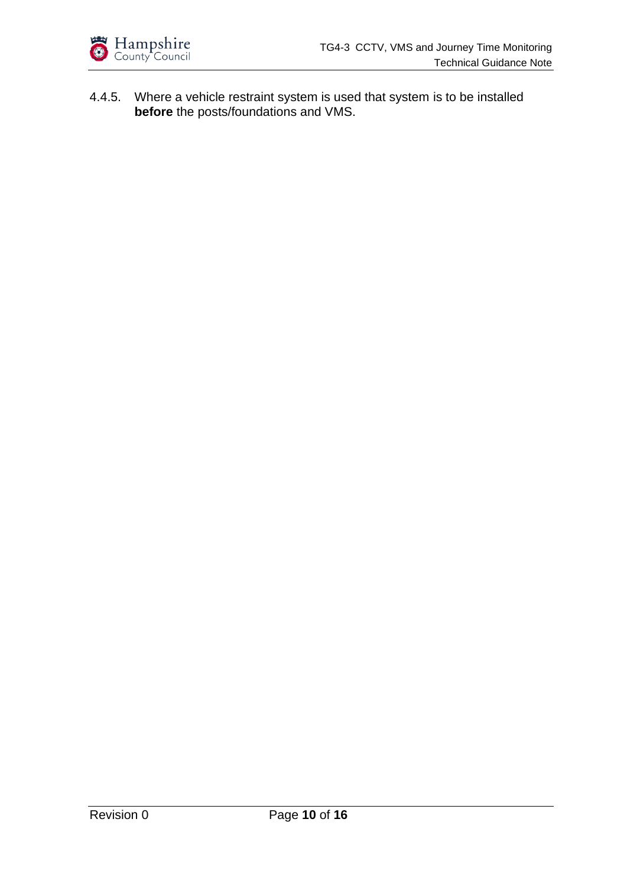

4.4.5. Where a vehicle restraint system is used that system is to be installed **before** the posts/foundations and VMS.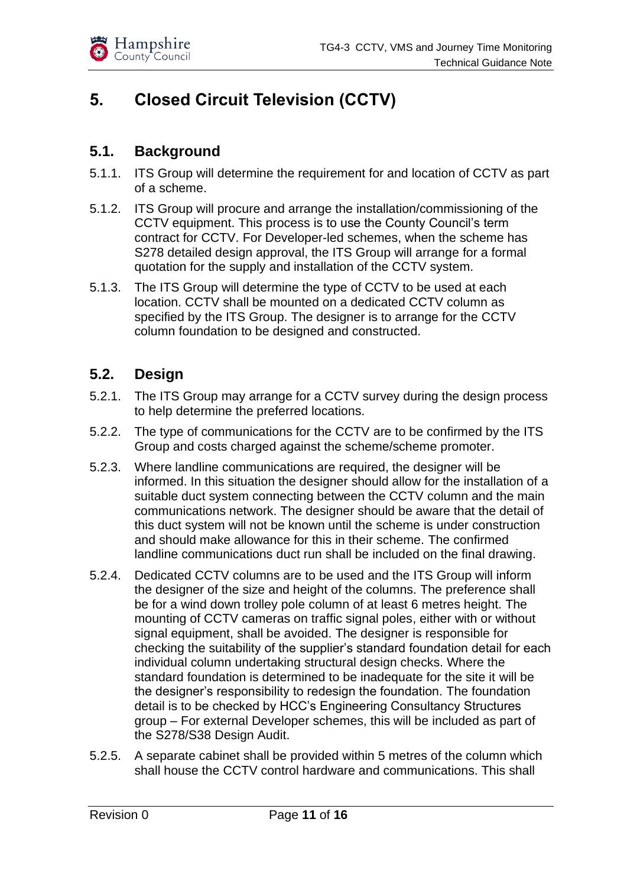

## <span id="page-10-0"></span>**5. Closed Circuit Television (CCTV)**

#### <span id="page-10-1"></span>**5.1. Background**

- 5.1.1. ITS Group will determine the requirement for and location of CCTV as part of a scheme.
- 5.1.2. ITS Group will procure and arrange the installation/commissioning of the CCTV equipment. This process is to use the County Council's term contract for CCTV. For Developer-led schemes, when the scheme has S278 detailed design approval, the ITS Group will arrange for a formal quotation for the supply and installation of the CCTV system.
- 5.1.3. The ITS Group will determine the type of CCTV to be used at each location. CCTV shall be mounted on a dedicated CCTV column as specified by the ITS Group. The designer is to arrange for the CCTV column foundation to be designed and constructed.

#### <span id="page-10-2"></span>**5.2. Design**

- 5.2.1. The ITS Group may arrange for a CCTV survey during the design process to help determine the preferred locations.
- 5.2.2. The type of communications for the CCTV are to be confirmed by the ITS Group and costs charged against the scheme/scheme promoter.
- 5.2.3. Where landline communications are required, the designer will be informed. In this situation the designer should allow for the installation of a suitable duct system connecting between the CCTV column and the main communications network. The designer should be aware that the detail of this duct system will not be known until the scheme is under construction and should make allowance for this in their scheme. The confirmed landline communications duct run shall be included on the final drawing.
- 5.2.4. Dedicated CCTV columns are to be used and the ITS Group will inform the designer of the size and height of the columns. The preference shall be for a wind down trolley pole column of at least 6 metres height. The mounting of CCTV cameras on traffic signal poles, either with or without signal equipment, shall be avoided. The designer is responsible for checking the suitability of the supplier's standard foundation detail for each individual column undertaking structural design checks. Where the standard foundation is determined to be inadequate for the site it will be the designer's responsibility to redesign the foundation. The foundation detail is to be checked by HCC's Engineering Consultancy Structures group – For external Developer schemes, this will be included as part of the S278/S38 Design Audit.
- 5.2.5. A separate cabinet shall be provided within 5 metres of the column which shall house the CCTV control hardware and communications. This shall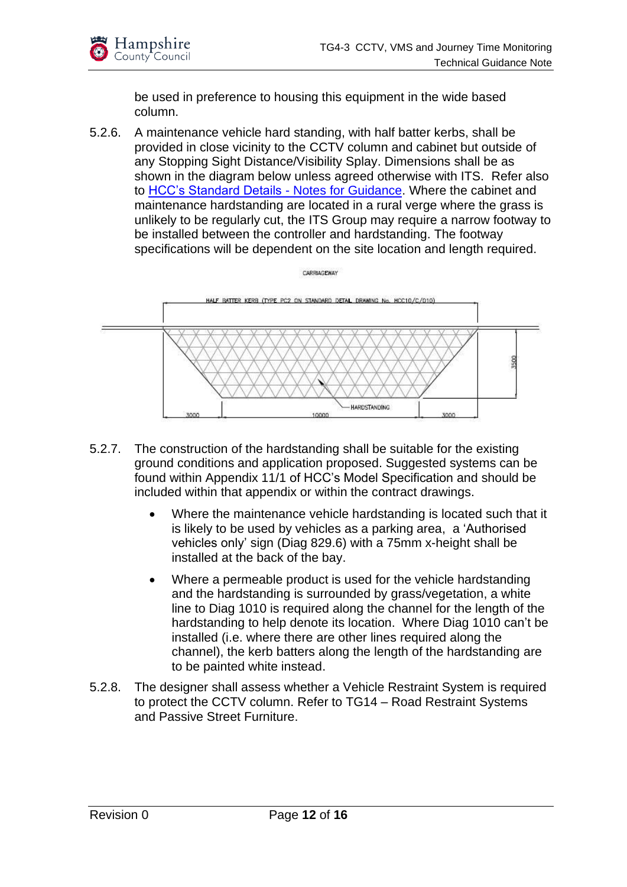

be used in preference to housing this equipment in the wide based column.

5.2.6. A maintenance vehicle hard standing, with half batter kerbs, shall be provided in close vicinity to the CCTV column and cabinet but outside of any Stopping Sight Distance/Visibility Splay. Dimensions shall be as shown in the diagram below unless agreed otherwise with ITS. Refer also to [HCC's Standard Details -](https://www.hants.gov.uk/transport/developers/standard-details) Notes for Guidance. Where the cabinet and maintenance hardstanding are located in a rural verge where the grass is unlikely to be regularly cut, the ITS Group may require a narrow footway to be installed between the controller and hardstanding. The footway specifications will be dependent on the site location and length required.



- 5.2.7. The construction of the hardstanding shall be suitable for the existing ground conditions and application proposed. Suggested systems can be found within Appendix 11/1 of HCC's Model Specification and should be included within that appendix or within the contract drawings.
	- Where the maintenance vehicle hardstanding is located such that it is likely to be used by vehicles as a parking area, a 'Authorised vehicles only' sign (Diag 829.6) with a 75mm x-height shall be installed at the back of the bay.
	- Where a permeable product is used for the vehicle hardstanding and the hardstanding is surrounded by grass/vegetation, a white line to Diag 1010 is required along the channel for the length of the hardstanding to help denote its location. Where Diag 1010 can't be installed (i.e. where there are other lines required along the channel), the kerb batters along the length of the hardstanding are to be painted white instead.
- 5.2.8. The designer shall assess whether a Vehicle Restraint System is required to protect the CCTV column. Refer to TG14 – Road Restraint Systems and Passive Street Furniture.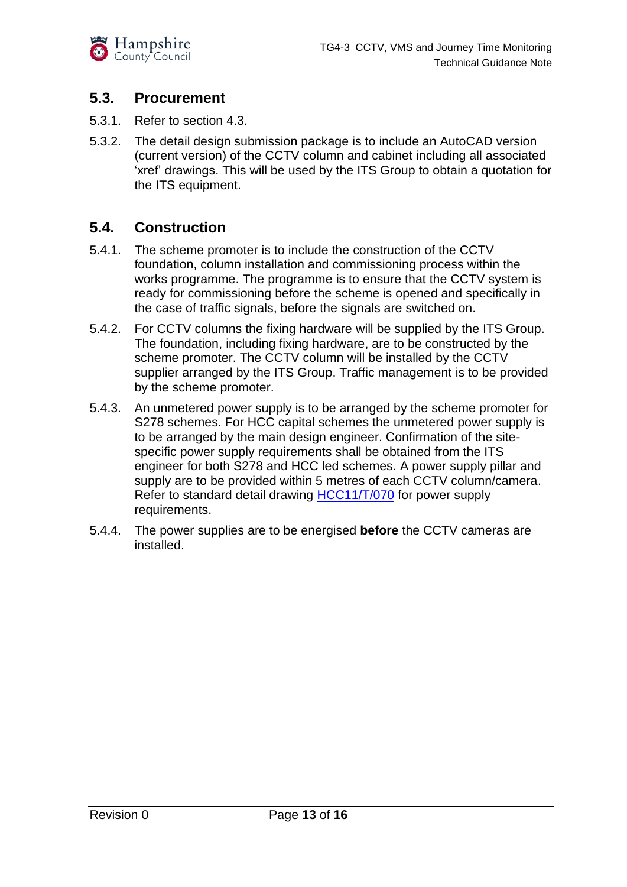

#### <span id="page-12-0"></span>**5.3. Procurement**

- 5.3.1. Refer to section 4.3.
- 5.3.2. The detail design submission package is to include an AutoCAD version (current version) of the CCTV column and cabinet including all associated 'xref' drawings. This will be used by the ITS Group to obtain a quotation for the ITS equipment.

#### <span id="page-12-1"></span>**5.4. Construction**

- 5.4.1. The scheme promoter is to include the construction of the CCTV foundation, column installation and commissioning process within the works programme. The programme is to ensure that the CCTV system is ready for commissioning before the scheme is opened and specifically in the case of traffic signals, before the signals are switched on.
- 5.4.2. For CCTV columns the fixing hardware will be supplied by the ITS Group. The foundation, including fixing hardware, are to be constructed by the scheme promoter. The CCTV column will be installed by the CCTV supplier arranged by the ITS Group. Traffic management is to be provided by the scheme promoter.
- 5.4.3. An unmetered power supply is to be arranged by the scheme promoter for S278 schemes. For HCC capital schemes the unmetered power supply is to be arranged by the main design engineer. Confirmation of the sitespecific power supply requirements shall be obtained from the ITS engineer for both S278 and HCC led schemes. A power supply pillar and supply are to be provided within 5 metres of each CCTV column/camera. Refer to standard detail drawing [HCC11/T/070](https://www.hants.gov.uk/transport/developers/standard-details) for power supply requirements.
- 5.4.4. The power supplies are to be energised **before** the CCTV cameras are installed.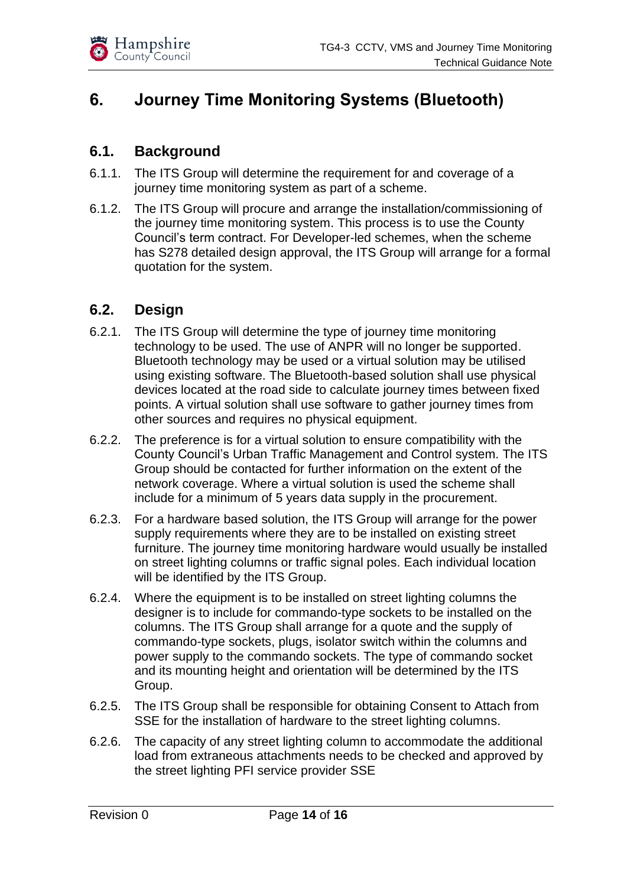

## <span id="page-13-0"></span>**6. Journey Time Monitoring Systems (Bluetooth)**

#### <span id="page-13-1"></span>**6.1. Background**

- 6.1.1. The ITS Group will determine the requirement for and coverage of a journey time monitoring system as part of a scheme.
- 6.1.2. The ITS Group will procure and arrange the installation/commissioning of the journey time monitoring system. This process is to use the County Council's term contract. For Developer-led schemes, when the scheme has S278 detailed design approval, the ITS Group will arrange for a formal quotation for the system.

#### <span id="page-13-2"></span>**6.2. Design**

- 6.2.1. The ITS Group will determine the type of journey time monitoring technology to be used. The use of ANPR will no longer be supported. Bluetooth technology may be used or a virtual solution may be utilised using existing software. The Bluetooth-based solution shall use physical devices located at the road side to calculate journey times between fixed points. A virtual solution shall use software to gather journey times from other sources and requires no physical equipment.
- 6.2.2. The preference is for a virtual solution to ensure compatibility with the County Council's Urban Traffic Management and Control system. The ITS Group should be contacted for further information on the extent of the network coverage. Where a virtual solution is used the scheme shall include for a minimum of 5 years data supply in the procurement.
- 6.2.3. For a hardware based solution, the ITS Group will arrange for the power supply requirements where they are to be installed on existing street furniture. The journey time monitoring hardware would usually be installed on street lighting columns or traffic signal poles. Each individual location will be identified by the ITS Group.
- 6.2.4. Where the equipment is to be installed on street lighting columns the designer is to include for commando-type sockets to be installed on the columns. The ITS Group shall arrange for a quote and the supply of commando-type sockets, plugs, isolator switch within the columns and power supply to the commando sockets. The type of commando socket and its mounting height and orientation will be determined by the ITS Group.
- 6.2.5. The ITS Group shall be responsible for obtaining Consent to Attach from SSE for the installation of hardware to the street lighting columns.
- 6.2.6. The capacity of any street lighting column to accommodate the additional load from extraneous attachments needs to be checked and approved by the street lighting PFI service provider SSE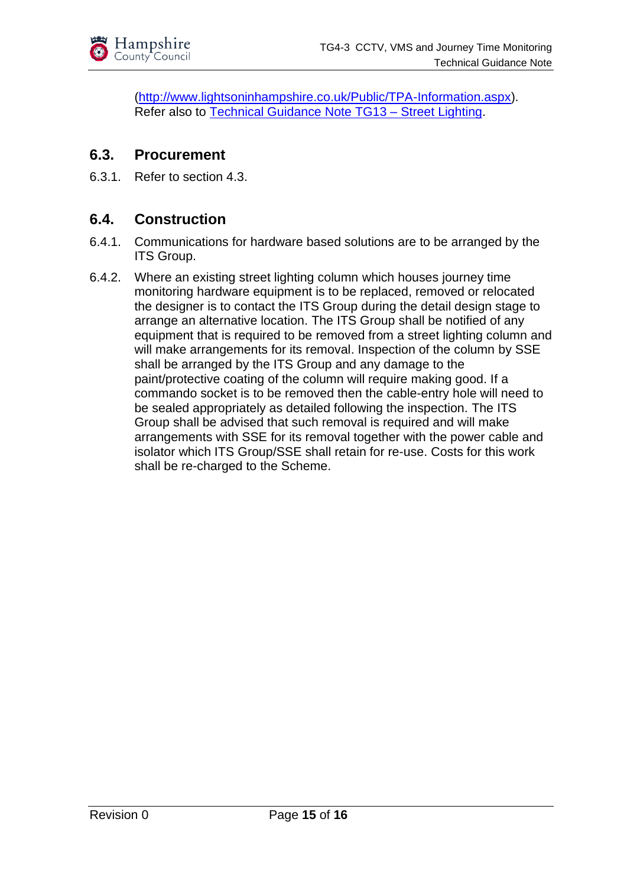

[\(http://www.lightsoninhampshire.co.uk/Public/TPA-Information.aspx\)](http://www.lightsoninhampshire.co.uk/Public/TPA-Information.aspx). Refer also to [Technical Guidance Note TG13 –](https://www.hants.gov.uk/transport/developers/technical-guidance) Street Lighting.

#### <span id="page-14-0"></span>**6.3. Procurement**

6.3.1. Refer to section 4.3.

#### <span id="page-14-1"></span>**6.4. Construction**

- 6.4.1. Communications for hardware based solutions are to be arranged by the ITS Group.
- 6.4.2. Where an existing street lighting column which houses journey time monitoring hardware equipment is to be replaced, removed or relocated the designer is to contact the ITS Group during the detail design stage to arrange an alternative location. The ITS Group shall be notified of any equipment that is required to be removed from a street lighting column and will make arrangements for its removal. Inspection of the column by SSE shall be arranged by the ITS Group and any damage to the paint/protective coating of the column will require making good. If a commando socket is to be removed then the cable-entry hole will need to be sealed appropriately as detailed following the inspection. The ITS Group shall be advised that such removal is required and will make arrangements with SSE for its removal together with the power cable and isolator which ITS Group/SSE shall retain for re-use. Costs for this work shall be re-charged to the Scheme.